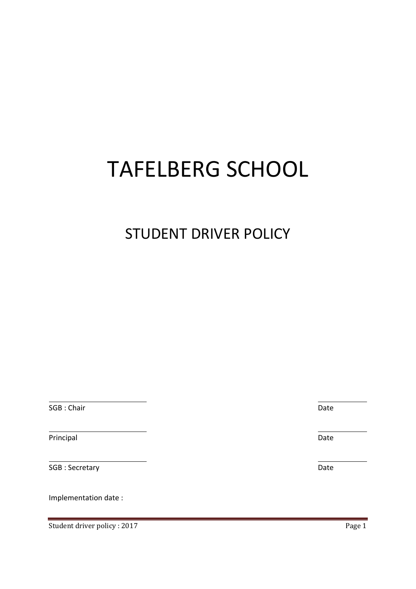# TAFELBERG SCHOOL

## STUDENT DRIVER POLICY

<u> 1989 - Johann Harry Harry Harry Harry Harry Harry Harry Harry Harry Harry Harry Harry Harry Harry Harry Harry</u>

<u> 1989 - Johann Harry Harry Harry Harry Harry Harry Harry Harry Harry Harry Harry Harry Harry Harry Harry Harry</u>

SGB : Chair Date

Principal Date

SGB : Secretary **Date** 

Implementation date :

Student driver policy : 2017 Page 1

<u> 1989 - Johann Harry Harry Harry Harry Harry Harry Harry Harry Harry Harry Harry Harry Harry Harry Harry Harry</u>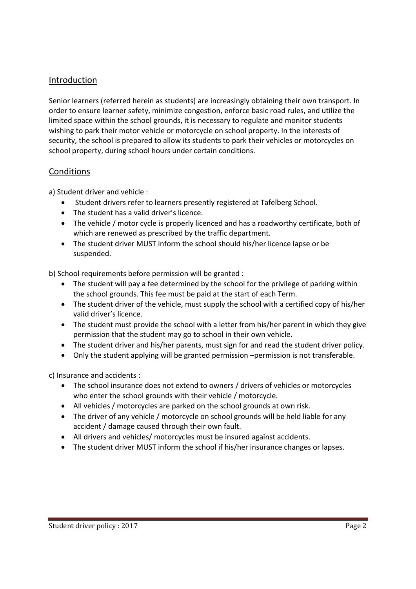### Introduction

Senior learners (referred herein as students) are increasingly obtaining their own transport. In order to ensure learner safety, minimize congestion, enforce basic road rules, and utilize the limited space within the school grounds, it is necessary to regulate and monitor students wishing to park their motor vehicle or motorcycle on school property. In the interests of security, the school is prepared to allow its students to park their vehicles or motorcycles on school property, during school hours under certain conditions.

### Conditions

a) Student driver and vehicle :

- Student drivers refer to learners presently registered at Tafelberg School.
- The student has a valid driver's licence.
- The vehicle / motor cycle is properly licenced and has a roadworthy certificate, both of which are renewed as prescribed by the traffic department.
- The student driver MUST inform the school should his/her licence lapse or be suspended.

b) School requirements before permission will be granted :

- The student will pay a fee determined by the school for the privilege of parking within the school grounds. This fee must be paid at the start of each Term.
- The student driver of the vehicle, must supply the school with a certified copy of his/her valid driver's licence.
- The student must provide the school with a letter from his/her parent in which they give permission that the student may go to school in their own vehicle.
- The student driver and his/her parents, must sign for and read the student driver policy.
- Only the student applying will be granted permission –permission is not transferable.

c) Insurance and accidents :

- The school insurance does not extend to owners / drivers of vehicles or motorcycles who enter the school grounds with their vehicle / motorcycle.
- All vehicles / motorcycles are parked on the school grounds at own risk.
- The driver of any vehicle / motorcycle on school grounds will be held liable for any accident / damage caused through their own fault.
- All drivers and vehicles/ motorcycles must be insured against accidents.
- The student driver MUST inform the school if his/her insurance changes or lapses.